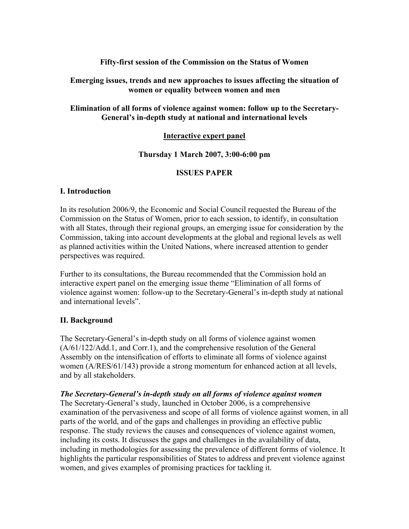## **Fifty-first session of the Commission on the Status of Women**

#### **Emerging issues, trends and new approaches to issues affecting the situation of women or equality between women and men**

## **Elimination of all forms of violence against women: follow up to the Secretary-General's in-depth study at national and international levels**

## **Interactive expert panel**

## **Thursday 1 March 2007, 3:00-6:00 pm**

## **ISSUES PAPER**

#### **I. Introduction**

In its resolution 2006/9, the Economic and Social Council requested the Bureau of the Commission on the Status of Women, prior to each session, to identify, in consultation with all States, through their regional groups, an emerging issue for consideration by the Commission, taking into account developments at the global and regional levels as well as planned activities within the United Nations, where increased attention to gender perspectives was required.

Further to its consultations, the Bureau recommended that the Commission hold an interactive expert panel on the emerging issue theme "Elimination of all forms of violence against women: follow-up to the Secretary-General's in-depth study at national and international levels".

#### **II. Background**

The Secretary-General's in-depth study on all forms of violence against women (A/61/122/Add.1, and Corr.1), and the comprehensive resolution of the General Assembly on the intensification of efforts to eliminate all forms of violence against women (A/RES/61/143) provide a strong momentum for enhanced action at all levels, and by all stakeholders.

#### *The Secretary-General's in-depth study on all forms of violence against women*

The Secretary-General's study, launched in October 2006, is a comprehensive examination of the pervasiveness and scope of all forms of violence against women, in all parts of the world, and of the gaps and challenges in providing an effective public response. The study reviews the causes and consequences of violence against women, including its costs. It discusses the gaps and challenges in the availability of data, including in methodologies for assessing the prevalence of different forms of violence. It highlights the particular responsibilities of States to address and prevent violence against women, and gives examples of promising practices for tackling it.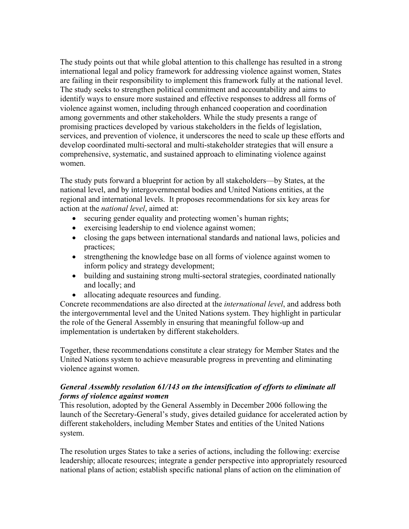The study points out that while global attention to this challenge has resulted in a strong international legal and policy framework for addressing violence against women, States are failing in their responsibility to implement this framework fully at the national level. The study seeks to strengthen political commitment and accountability and aims to identify ways to ensure more sustained and effective responses to address all forms of violence against women, including through enhanced cooperation and coordination among governments and other stakeholders. While the study presents a range of promising practices developed by various stakeholders in the fields of legislation, services, and prevention of violence, it underscores the need to scale up these efforts and develop coordinated multi-sectoral and multi-stakeholder strategies that will ensure a comprehensive, systematic, and sustained approach to eliminating violence against women.

The study puts forward a blueprint for action by all stakeholders—by States, at the national level, and by intergovernmental bodies and United Nations entities, at the regional and international levels. It proposes recommendations for six key areas for action at the *national level*, aimed at:

- securing gender equality and protecting women's human rights;
- exercising leadership to end violence against women;
- closing the gaps between international standards and national laws, policies and practices;
- strengthening the knowledge base on all forms of violence against women to inform policy and strategy development;
- building and sustaining strong multi-sectoral strategies, coordinated nationally and locally; and
- allocating adequate resources and funding.

Concrete recommendations are also directed at the *international level*, and address both the intergovernmental level and the United Nations system. They highlight in particular the role of the General Assembly in ensuring that meaningful follow-up and implementation is undertaken by different stakeholders.

Together, these recommendations constitute a clear strategy for Member States and the United Nations system to achieve measurable progress in preventing and eliminating violence against women.

#### *General Assembly resolution 61/143 on the intensification of efforts to eliminate all forms of violence against women*

This resolution, adopted by the General Assembly in December 2006 following the launch of the Secretary-General's study, gives detailed guidance for accelerated action by different stakeholders, including Member States and entities of the United Nations system.

The resolution urges States to take a series of actions, including the following: exercise leadership; allocate resources; integrate a gender perspective into appropriately resourced national plans of action; establish specific national plans of action on the elimination of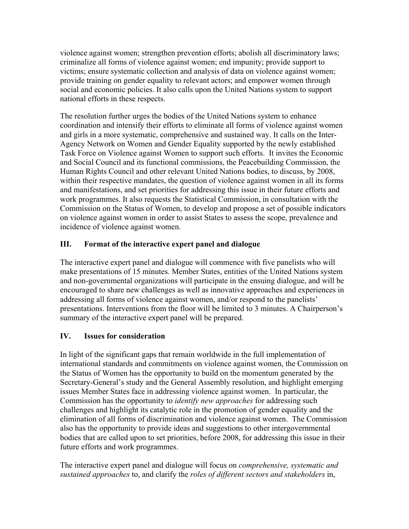violence against women; strengthen prevention efforts; abolish all discriminatory laws; criminalize all forms of violence against women; end impunity; provide support to victims; ensure systematic collection and analysis of data on violence against women; provide training on gender equality to relevant actors; and empower women through social and economic policies. It also calls upon the United Nations system to support national efforts in these respects.

The resolution further urges the bodies of the United Nations system to enhance coordination and intensify their efforts to eliminate all forms of violence against women and girls in a more systematic, comprehensive and sustained way. It calls on the Inter-Agency Network on Women and Gender Equality supported by the newly established Task Force on Violence against Women to support such efforts. It invites the Economic and Social Council and its functional commissions, the Peacebuilding Commission, the Human Rights Council and other relevant United Nations bodies, to discuss, by 2008, within their respective mandates, the question of violence against women in all its forms and manifestations, and set priorities for addressing this issue in their future efforts and work programmes. It also requests the Statistical Commission, in consultation with the Commission on the Status of Women, to develop and propose a set of possible indicators on violence against women in order to assist States to assess the scope, prevalence and incidence of violence against women.

# **III. Format of the interactive expert panel and dialogue**

The interactive expert panel and dialogue will commence with five panelists who will make presentations of 15 minutes. Member States, entities of the United Nations system and non-governmental organizations will participate in the ensuing dialogue, and will be encouraged to share new challenges as well as innovative approaches and experiences in addressing all forms of violence against women, and/or respond to the panelists' presentations. Interventions from the floor will be limited to 3 minutes. A Chairperson's summary of the interactive expert panel will be prepared.

# **IV. Issues for consideration**

In light of the significant gaps that remain worldwide in the full implementation of international standards and commitments on violence against women, the Commission on the Status of Women has the opportunity to build on the momentum generated by the Secretary-General's study and the General Assembly resolution, and highlight emerging issues Member States face in addressing violence against women. In particular, the Commission has the opportunity to *identify new approaches* for addressing such challenges and highlight its catalytic role in the promotion of gender equality and the elimination of all forms of discrimination and violence against women. The Commission also has the opportunity to provide ideas and suggestions to other intergovernmental bodies that are called upon to set priorities, before 2008, for addressing this issue in their future efforts and work programmes.

The interactive expert panel and dialogue will focus on *comprehensive, systematic and sustained approaches* to, and clarify the *roles of different sectors and stakeholders* in,